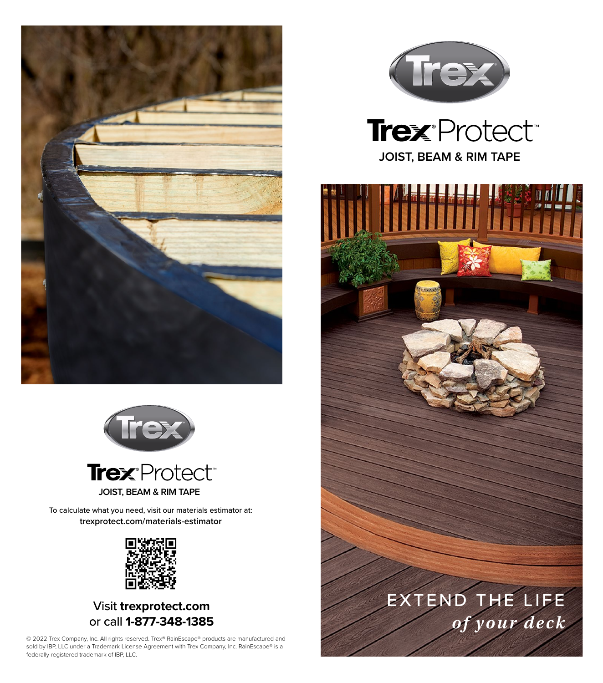





To calculate what you need, visit our materials estimator at: **trexprotect.com/materials-estimator**



Visit **trexprotect.com** or call **1-877-348-1385**

© 2022 Trex Company, Inc. All rights reserved. Trex® RainEscape® products are manufactured and sold by IBP, LLC under a Trademark License Agreement with Trex Company, Inc. RainEscape® is a federally registered trademark of IBP, LLC.